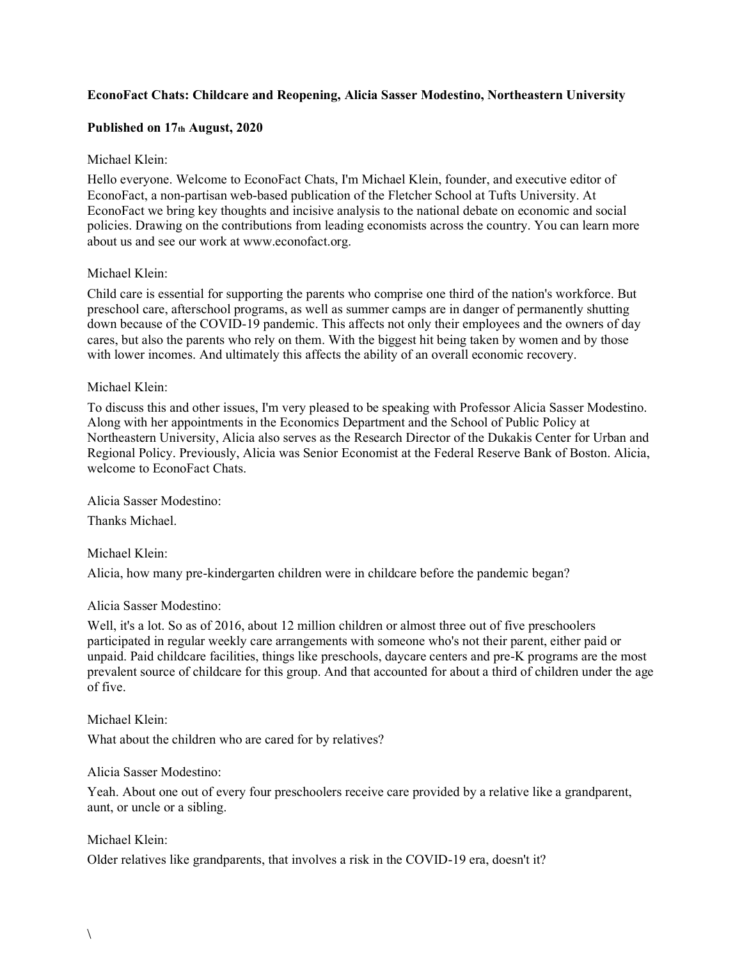## **EconoFact Chats: Childcare and Reopening, Alicia Sasser Modestino, Northeastern University**

### **Published on 17th August, 2020**

### Michael Klein:

Hello everyone. Welcome to EconoFact Chats, I'm Michael Klein, founder, and executive editor of EconoFact, a non-partisan web-based publication of the Fletcher School at Tufts University. At EconoFact we bring key thoughts and incisive analysis to the national debate on economic and social policies. Drawing on the contributions from leading economists across the country. You can learn more about us and see our work at www.econofact.org.

### Michael Klein:

Child care is essential for supporting the parents who comprise one third of the nation's workforce. But preschool care, afterschool programs, as well as summer camps are in danger of permanently shutting down because of the COVID-19 pandemic. This affects not only their employees and the owners of day cares, but also the parents who rely on them. With the biggest hit being taken by women and by those with lower incomes. And ultimately this affects the ability of an overall economic recovery.

### Michael Klein:

To discuss this and other issues, I'm very pleased to be speaking with Professor Alicia Sasser Modestino. Along with her appointments in the Economics Department and the School of Public Policy at Northeastern University, Alicia also serves as the Research Director of the Dukakis Center for Urban and Regional Policy. Previously, Alicia was Senior Economist at the Federal Reserve Bank of Boston. Alicia, welcome to EconoFact Chats.

Alicia Sasser Modestino:

Thanks Michael.

Michael Klein:

Alicia, how many pre-kindergarten children were in childcare before the pandemic began?

### Alicia Sasser Modestino:

Well, it's a lot. So as of 2016, about 12 million children or almost three out of five preschoolers participated in regular weekly care arrangements with someone who's not their parent, either paid or unpaid. Paid childcare facilities, things like preschools, daycare centers and pre-K programs are the most prevalent source of childcare for this group. And that accounted for about a third of children under the age of five.

### Michael Klein:

What about the children who are cared for by relatives?

### Alicia Sasser Modestino:

Yeah. About one out of every four preschoolers receive care provided by a relative like a grandparent, aunt, or uncle or a sibling.

### Michael Klein:

Older relatives like grandparents, that involves a risk in the COVID-19 era, doesn't it?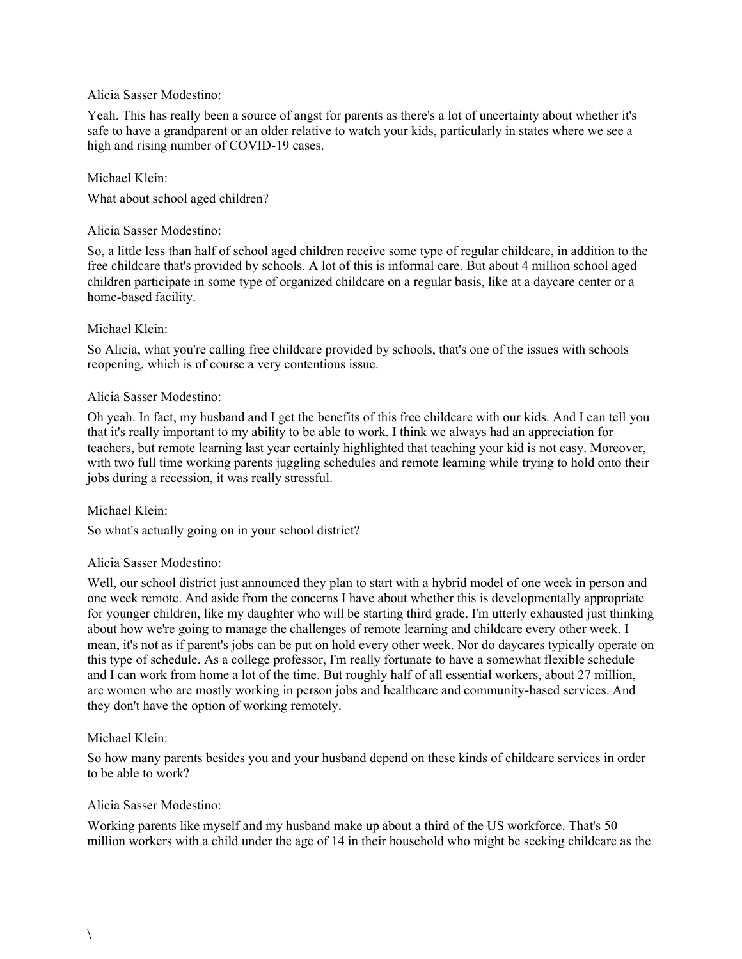### Alicia Sasser Modestino:

Yeah. This has really been a source of angst for parents as there's a lot of uncertainty about whether it's safe to have a grandparent or an older relative to watch your kids, particularly in states where we see a high and rising number of COVID-19 cases.

## Michael Klein:

What about school aged children?

## Alicia Sasser Modestino:

So, a little less than half of school aged children receive some type of regular childcare, in addition to the free childcare that's provided by schools. A lot of this is informal care. But about 4 million school aged children participate in some type of organized childcare on a regular basis, like at a daycare center or a home-based facility.

# Michael Klein:

So Alicia, what you're calling free childcare provided by schools, that's one of the issues with schools reopening, which is of course a very contentious issue.

## Alicia Sasser Modestino:

Oh yeah. In fact, my husband and I get the benefits of this free childcare with our kids. And I can tell you that it's really important to my ability to be able to work. I think we always had an appreciation for teachers, but remote learning last year certainly highlighted that teaching your kid is not easy. Moreover, with two full time working parents juggling schedules and remote learning while trying to hold onto their jobs during a recession, it was really stressful.

## Michael Klein:

So what's actually going on in your school district?

## Alicia Sasser Modestino:

Well, our school district just announced they plan to start with a hybrid model of one week in person and one week remote. And aside from the concerns I have about whether this is developmentally appropriate for younger children, like my daughter who will be starting third grade. I'm utterly exhausted just thinking about how we're going to manage the challenges of remote learning and childcare every other week. I mean, it's not as if parent's jobs can be put on hold every other week. Nor do daycares typically operate on this type of schedule. As a college professor, I'm really fortunate to have a somewhat flexible schedule and I can work from home a lot of the time. But roughly half of all essential workers, about 27 million, are women who are mostly working in person jobs and healthcare and community-based services. And they don't have the option of working remotely.

## Michael Klein:

So how many parents besides you and your husband depend on these kinds of childcare services in order to be able to work?

## Alicia Sasser Modestino:

Working parents like myself and my husband make up about a third of the US workforce. That's 50 million workers with a child under the age of 14 in their household who might be seeking childcare as the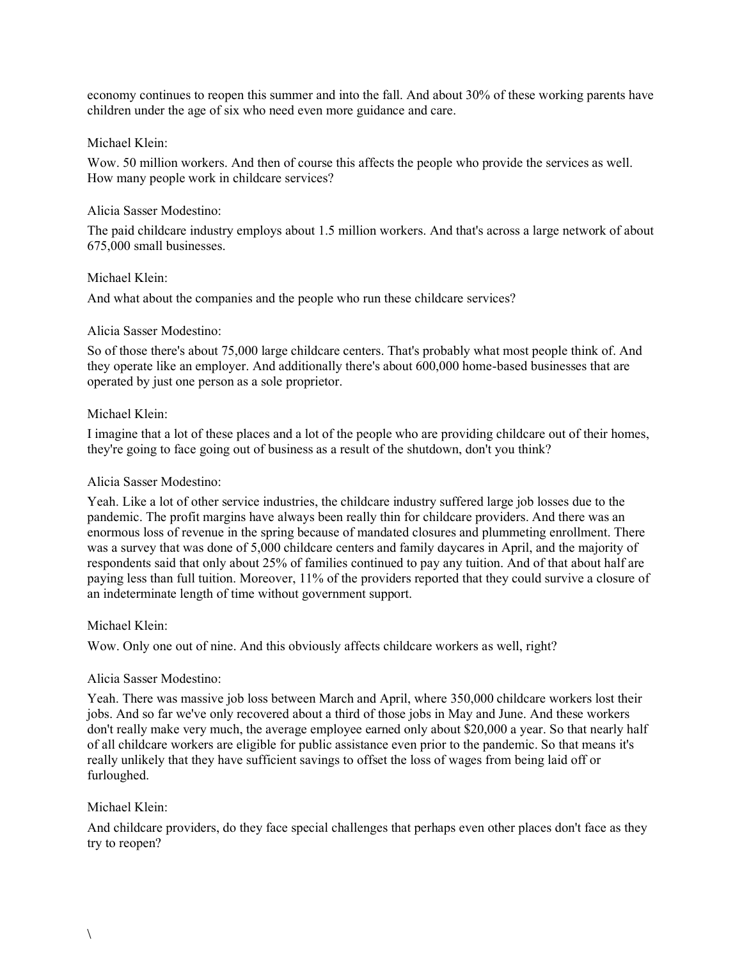economy continues to reopen this summer and into the fall. And about 30% of these working parents have children under the age of six who need even more guidance and care.

### Michael Klein:

Wow. 50 million workers. And then of course this affects the people who provide the services as well. How many people work in childcare services?

### Alicia Sasser Modestino:

The paid childcare industry employs about 1.5 million workers. And that's across a large network of about 675,000 small businesses.

### Michael Klein:

And what about the companies and the people who run these childcare services?

### Alicia Sasser Modestino:

So of those there's about 75,000 large childcare centers. That's probably what most people think of. And they operate like an employer. And additionally there's about 600,000 home-based businesses that are operated by just one person as a sole proprietor.

### Michael Klein:

I imagine that a lot of these places and a lot of the people who are providing childcare out of their homes, they're going to face going out of business as a result of the shutdown, don't you think?

### Alicia Sasser Modestino:

Yeah. Like a lot of other service industries, the childcare industry suffered large job losses due to the pandemic. The profit margins have always been really thin for childcare providers. And there was an enormous loss of revenue in the spring because of mandated closures and plummeting enrollment. There was a survey that was done of 5,000 childcare centers and family daycares in April, and the majority of respondents said that only about 25% of families continued to pay any tuition. And of that about half are paying less than full tuition. Moreover, 11% of the providers reported that they could survive a closure of an indeterminate length of time without government support.

### Michael Klein:

Wow. Only one out of nine. And this obviously affects childcare workers as well, right?

### Alicia Sasser Modestino:

Yeah. There was massive job loss between March and April, where 350,000 childcare workers lost their jobs. And so far we've only recovered about a third of those jobs in May and June. And these workers don't really make very much, the average employee earned only about \$20,000 a year. So that nearly half of all childcare workers are eligible for public assistance even prior to the pandemic. So that means it's really unlikely that they have sufficient savings to offset the loss of wages from being laid off or furloughed.

## Michael Klein:

And childcare providers, do they face special challenges that perhaps even other places don't face as they try to reopen?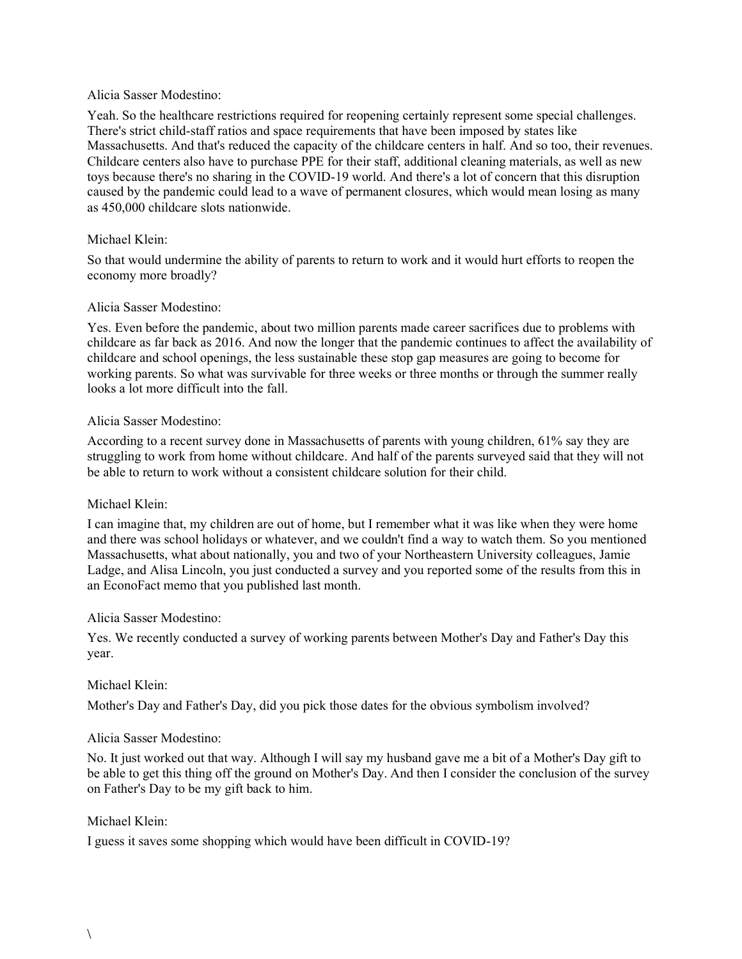### Alicia Sasser Modestino:

Yeah. So the healthcare restrictions required for reopening certainly represent some special challenges. There's strict child-staff ratios and space requirements that have been imposed by states like Massachusetts. And that's reduced the capacity of the childcare centers in half. And so too, their revenues. Childcare centers also have to purchase PPE for their staff, additional cleaning materials, as well as new toys because there's no sharing in the COVID-19 world. And there's a lot of concern that this disruption caused by the pandemic could lead to a wave of permanent closures, which would mean losing as many as 450,000 childcare slots nationwide.

## Michael Klein:

So that would undermine the ability of parents to return to work and it would hurt efforts to reopen the economy more broadly?

### Alicia Sasser Modestino:

Yes. Even before the pandemic, about two million parents made career sacrifices due to problems with childcare as far back as 2016. And now the longer that the pandemic continues to affect the availability of childcare and school openings, the less sustainable these stop gap measures are going to become for working parents. So what was survivable for three weeks or three months or through the summer really looks a lot more difficult into the fall.

### Alicia Sasser Modestino:

According to a recent survey done in Massachusetts of parents with young children, 61% say they are struggling to work from home without childcare. And half of the parents surveyed said that they will not be able to return to work without a consistent childcare solution for their child.

## Michael Klein:

I can imagine that, my children are out of home, but I remember what it was like when they were home and there was school holidays or whatever, and we couldn't find a way to watch them. So you mentioned Massachusetts, what about nationally, you and two of your Northeastern University colleagues, Jamie Ladge, and Alisa Lincoln, you just conducted a survey and you reported some of the results from this in an EconoFact memo that you published last month.

## Alicia Sasser Modestino:

Yes. We recently conducted a survey of working parents between Mother's Day and Father's Day this year.

## Michael Klein:

Mother's Day and Father's Day, did you pick those dates for the obvious symbolism involved?

## Alicia Sasser Modestino:

No. It just worked out that way. Although I will say my husband gave me a bit of a Mother's Day gift to be able to get this thing off the ground on Mother's Day. And then I consider the conclusion of the survey on Father's Day to be my gift back to him.

## Michael Klein:

I guess it saves some shopping which would have been difficult in COVID-19?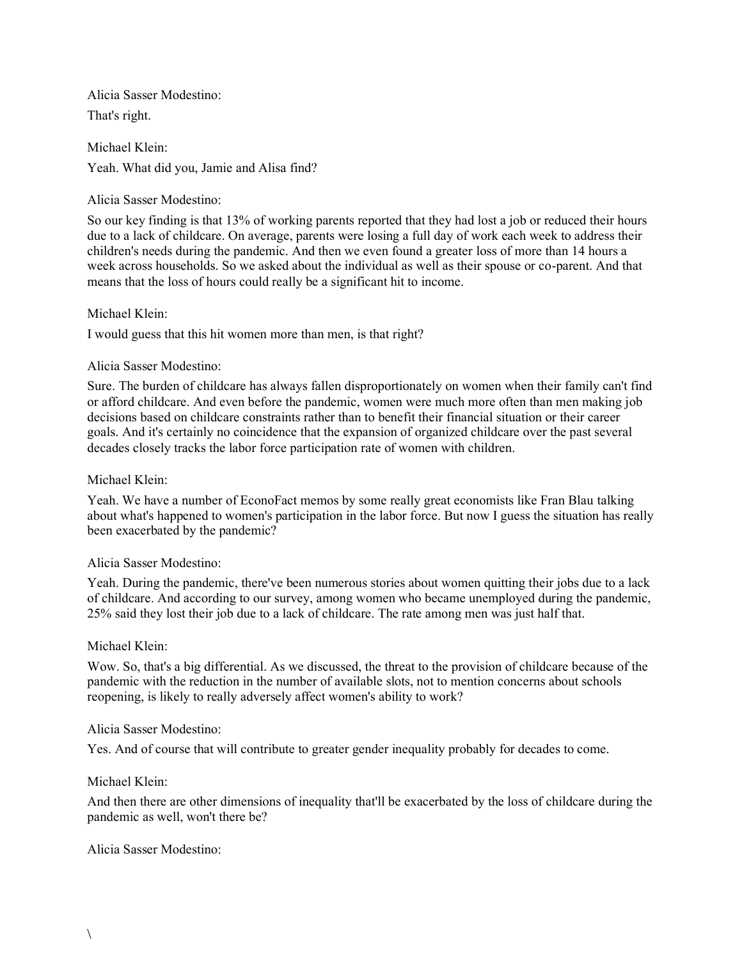Alicia Sasser Modestino: That's right.

Michael Klein: Yeah. What did you, Jamie and Alisa find?

## Alicia Sasser Modestino:

So our key finding is that 13% of working parents reported that they had lost a job or reduced their hours due to a lack of childcare. On average, parents were losing a full day of work each week to address their children's needs during the pandemic. And then we even found a greater loss of more than 14 hours a week across households. So we asked about the individual as well as their spouse or co-parent. And that means that the loss of hours could really be a significant hit to income.

# Michael Klein:

I would guess that this hit women more than men, is that right?

# Alicia Sasser Modestino:

Sure. The burden of childcare has always fallen disproportionately on women when their family can't find or afford childcare. And even before the pandemic, women were much more often than men making job decisions based on childcare constraints rather than to benefit their financial situation or their career goals. And it's certainly no coincidence that the expansion of organized childcare over the past several decades closely tracks the labor force participation rate of women with children.

## Michael Klein:

Yeah. We have a number of EconoFact memos by some really great economists like Fran Blau talking about what's happened to women's participation in the labor force. But now I guess the situation has really been exacerbated by the pandemic?

## Alicia Sasser Modestino:

Yeah. During the pandemic, there've been numerous stories about women quitting their jobs due to a lack of childcare. And according to our survey, among women who became unemployed during the pandemic, 25% said they lost their job due to a lack of childcare. The rate among men was just half that.

## Michael Klein:

Wow. So, that's a big differential. As we discussed, the threat to the provision of childcare because of the pandemic with the reduction in the number of available slots, not to mention concerns about schools reopening, is likely to really adversely affect women's ability to work?

## Alicia Sasser Modestino:

Yes. And of course that will contribute to greater gender inequality probably for decades to come.

## Michael Klein:

And then there are other dimensions of inequality that'll be exacerbated by the loss of childcare during the pandemic as well, won't there be?

## Alicia Sasser Modestino: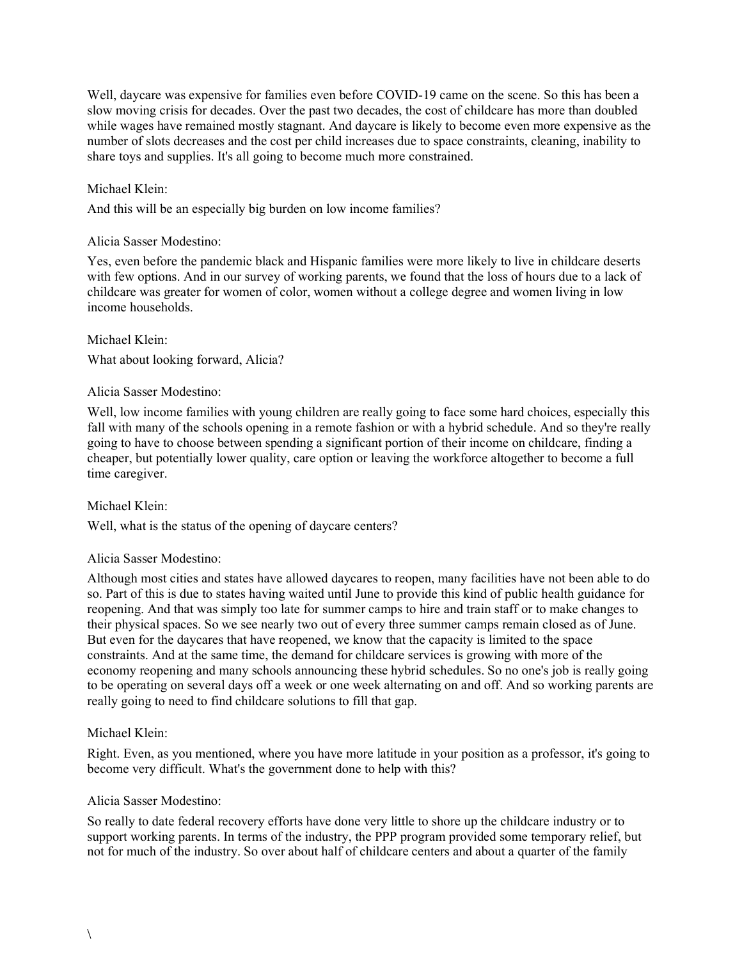Well, daycare was expensive for families even before COVID-19 came on the scene. So this has been a slow moving crisis for decades. Over the past two decades, the cost of childcare has more than doubled while wages have remained mostly stagnant. And daycare is likely to become even more expensive as the number of slots decreases and the cost per child increases due to space constraints, cleaning, inability to share toys and supplies. It's all going to become much more constrained.

## Michael Klein:

And this will be an especially big burden on low income families?

# Alicia Sasser Modestino:

Yes, even before the pandemic black and Hispanic families were more likely to live in childcare deserts with few options. And in our survey of working parents, we found that the loss of hours due to a lack of childcare was greater for women of color, women without a college degree and women living in low income households.

Michael Klein: What about looking forward, Alicia?

# Alicia Sasser Modestino:

Well, low income families with young children are really going to face some hard choices, especially this fall with many of the schools opening in a remote fashion or with a hybrid schedule. And so they're really going to have to choose between spending a significant portion of their income on childcare, finding a cheaper, but potentially lower quality, care option or leaving the workforce altogether to become a full time caregiver.

## Michael Klein:

Well, what is the status of the opening of daycare centers?

## Alicia Sasser Modestino:

Although most cities and states have allowed daycares to reopen, many facilities have not been able to do so. Part of this is due to states having waited until June to provide this kind of public health guidance for reopening. And that was simply too late for summer camps to hire and train staff or to make changes to their physical spaces. So we see nearly two out of every three summer camps remain closed as of June. But even for the daycares that have reopened, we know that the capacity is limited to the space constraints. And at the same time, the demand for childcare services is growing with more of the economy reopening and many schools announcing these hybrid schedules. So no one's job is really going to be operating on several days off a week or one week alternating on and off. And so working parents are really going to need to find childcare solutions to fill that gap.

# Michael Klein:

Right. Even, as you mentioned, where you have more latitude in your position as a professor, it's going to become very difficult. What's the government done to help with this?

## Alicia Sasser Modestino:

So really to date federal recovery efforts have done very little to shore up the childcare industry or to support working parents. In terms of the industry, the PPP program provided some temporary relief, but not for much of the industry. So over about half of childcare centers and about a quarter of the family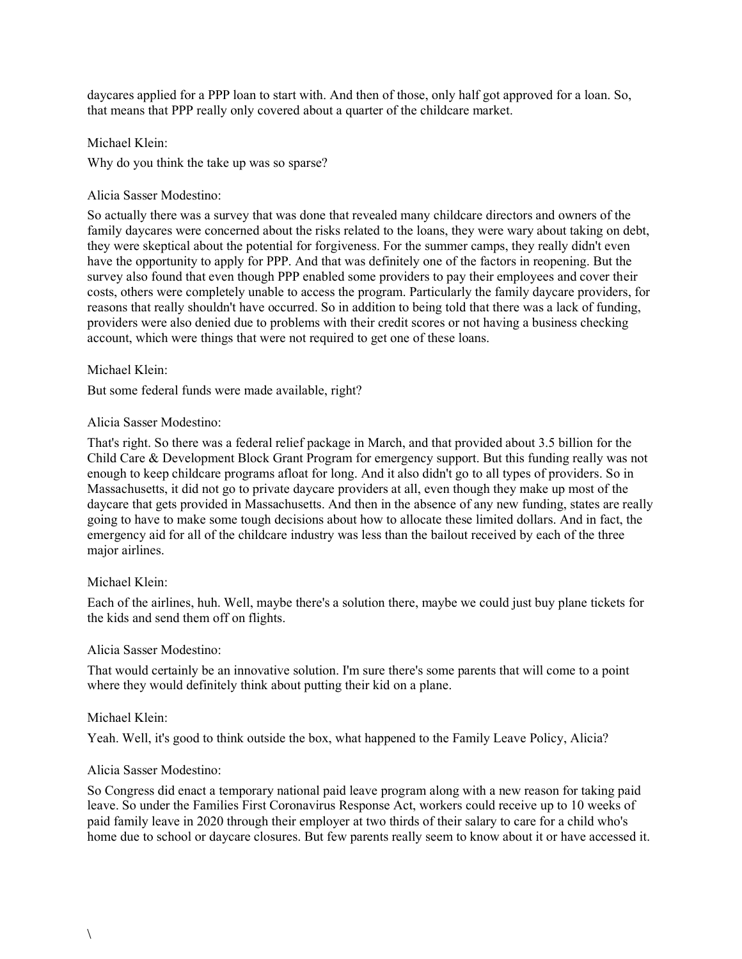daycares applied for a PPP loan to start with. And then of those, only half got approved for a loan. So, that means that PPP really only covered about a quarter of the childcare market.

Michael Klein: Why do you think the take up was so sparse?

### Alicia Sasser Modestino:

So actually there was a survey that was done that revealed many childcare directors and owners of the family daycares were concerned about the risks related to the loans, they were wary about taking on debt, they were skeptical about the potential for forgiveness. For the summer camps, they really didn't even have the opportunity to apply for PPP. And that was definitely one of the factors in reopening. But the survey also found that even though PPP enabled some providers to pay their employees and cover their costs, others were completely unable to access the program. Particularly the family daycare providers, for reasons that really shouldn't have occurred. So in addition to being told that there was a lack of funding, providers were also denied due to problems with their credit scores or not having a business checking account, which were things that were not required to get one of these loans.

### Michael Klein:

But some federal funds were made available, right?

### Alicia Sasser Modestino:

That's right. So there was a federal relief package in March, and that provided about 3.5 billion for the Child Care & Development Block Grant Program for emergency support. But this funding really was not enough to keep childcare programs afloat for long. And it also didn't go to all types of providers. So in Massachusetts, it did not go to private daycare providers at all, even though they make up most of the daycare that gets provided in Massachusetts. And then in the absence of any new funding, states are really going to have to make some tough decisions about how to allocate these limited dollars. And in fact, the emergency aid for all of the childcare industry was less than the bailout received by each of the three major airlines.

### Michael Klein:

Each of the airlines, huh. Well, maybe there's a solution there, maybe we could just buy plane tickets for the kids and send them off on flights.

### Alicia Sasser Modestino:

That would certainly be an innovative solution. I'm sure there's some parents that will come to a point where they would definitely think about putting their kid on a plane.

### Michael Klein:

Yeah. Well, it's good to think outside the box, what happened to the Family Leave Policy, Alicia?

### Alicia Sasser Modestino:

So Congress did enact a temporary national paid leave program along with a new reason for taking paid leave. So under the Families First Coronavirus Response Act, workers could receive up to 10 weeks of paid family leave in 2020 through their employer at two thirds of their salary to care for a child who's home due to school or daycare closures. But few parents really seem to know about it or have accessed it.